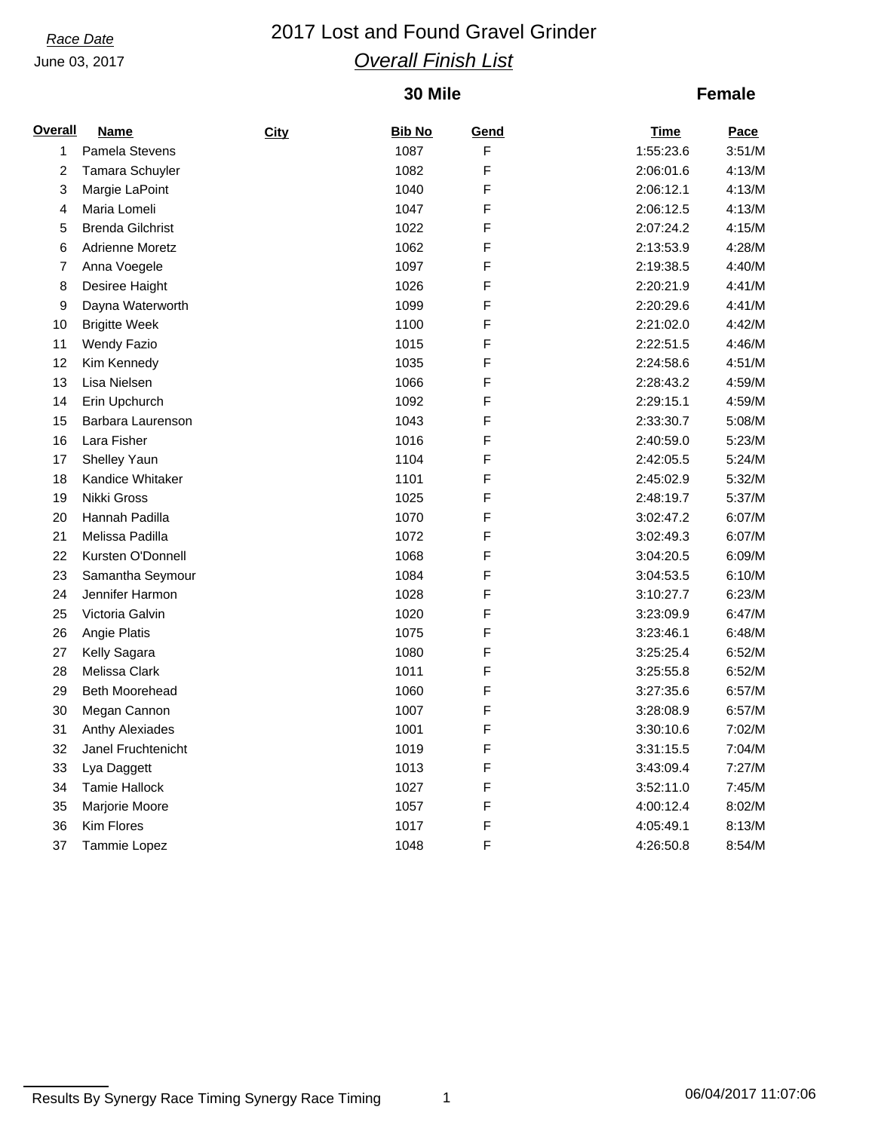June 03, 2017

## *Race Date* 2017 Lost and Found Gravel Grinder *Overall Finish List*

### **30 Mile**

### **Female**

| <b>Overall</b> | Name                    | City | <b>Bib No</b> | Gend        | <b>Time</b> | Pace   |
|----------------|-------------------------|------|---------------|-------------|-------------|--------|
| 1              | Pamela Stevens          |      | 1087          | $\mathsf F$ | 1:55:23.6   | 3:51/M |
| 2              | Tamara Schuyler         |      | 1082          | F           | 2:06:01.6   | 4:13/M |
| 3              | Margie LaPoint          |      | 1040          | F           | 2:06:12.1   | 4:13/M |
| 4              | Maria Lomeli            |      | 1047          | F           | 2:06:12.5   | 4:13/M |
| 5              | <b>Brenda Gilchrist</b> |      | 1022          | F           | 2:07:24.2   | 4:15/M |
| 6              | <b>Adrienne Moretz</b>  |      | 1062          | F           | 2:13:53.9   | 4:28/M |
| 7              | Anna Voegele            |      | 1097          | F           | 2:19:38.5   | 4:40/M |
| 8              | Desiree Haight          |      | 1026          | F           | 2:20:21.9   | 4:41/M |
| 9              | Dayna Waterworth        |      | 1099          | $\mathsf F$ | 2:20:29.6   | 4:41/M |
| 10             | <b>Brigitte Week</b>    |      | 1100          | $\mathsf F$ | 2:21:02.0   | 4:42/M |
| 11             | <b>Wendy Fazio</b>      |      | 1015          | F           | 2:22:51.5   | 4:46/M |
| 12             | Kim Kennedy             |      | 1035          | F           | 2:24:58.6   | 4:51/M |
| 13             | Lisa Nielsen            |      | 1066          | F           | 2:28:43.2   | 4:59/M |
| 14             | Erin Upchurch           |      | 1092          | F           | 2:29:15.1   | 4:59/M |
| 15             | Barbara Laurenson       |      | 1043          | F           | 2:33:30.7   | 5:08/M |
| 16             | Lara Fisher             |      | 1016          | F           | 2:40:59.0   | 5:23/M |
| 17             | Shelley Yaun            |      | 1104          | F           | 2:42:05.5   | 5:24/M |
| 18             | Kandice Whitaker        |      | 1101          | F           | 2:45:02.9   | 5:32/M |
| 19             | Nikki Gross             |      | 1025          | F           | 2:48:19.7   | 5:37/M |
| 20             | Hannah Padilla          |      | 1070          | F           | 3:02:47.2   | 6:07/M |
| 21             | Melissa Padilla         |      | 1072          | F           | 3:02:49.3   | 6:07/M |
| 22             | Kursten O'Donnell       |      | 1068          | F           | 3:04:20.5   | 6:09/M |
| 23             | Samantha Seymour        |      | 1084          | F           | 3:04:53.5   | 6:10/M |
| 24             | Jennifer Harmon         |      | 1028          | F           | 3:10:27.7   | 6:23/M |
| 25             | Victoria Galvin         |      | 1020          | F           | 3:23:09.9   | 6:47/M |
| 26             | Angie Platis            |      | 1075          | F           | 3:23:46.1   | 6:48/M |
| 27             | Kelly Sagara            |      | 1080          | F           | 3:25:25.4   | 6:52/M |
| 28             | Melissa Clark           |      | 1011          | F           | 3:25:55.8   | 6:52/M |
| 29             | <b>Beth Moorehead</b>   |      | 1060          | F           | 3:27:35.6   | 6:57/M |
| 30             | Megan Cannon            |      | 1007          | F           | 3:28:08.9   | 6:57/M |
| 31             | <b>Anthy Alexiades</b>  |      | 1001          | F           | 3:30:10.6   | 7:02/M |
| 32             | Janel Fruchtenicht      |      | 1019          | F           | 3:31:15.5   | 7:04/M |
| 33             | Lya Daggett             |      | 1013          | F           | 3:43:09.4   | 7:27/M |
| 34             | <b>Tamie Hallock</b>    |      | 1027          | F           | 3:52:11.0   | 7:45/M |
| 35             | Marjorie Moore          |      | 1057          | F           | 4:00:12.4   | 8:02/M |
| 36             | Kim Flores              |      | 1017          | F           | 4:05:49.1   | 8:13/M |
| 37             | Tammie Lopez            |      | 1048          | F           | 4:26:50.8   | 8:54/M |

Results By Synergy Race Timing Synergy Race Timing 1 06/04/2017 11:07:06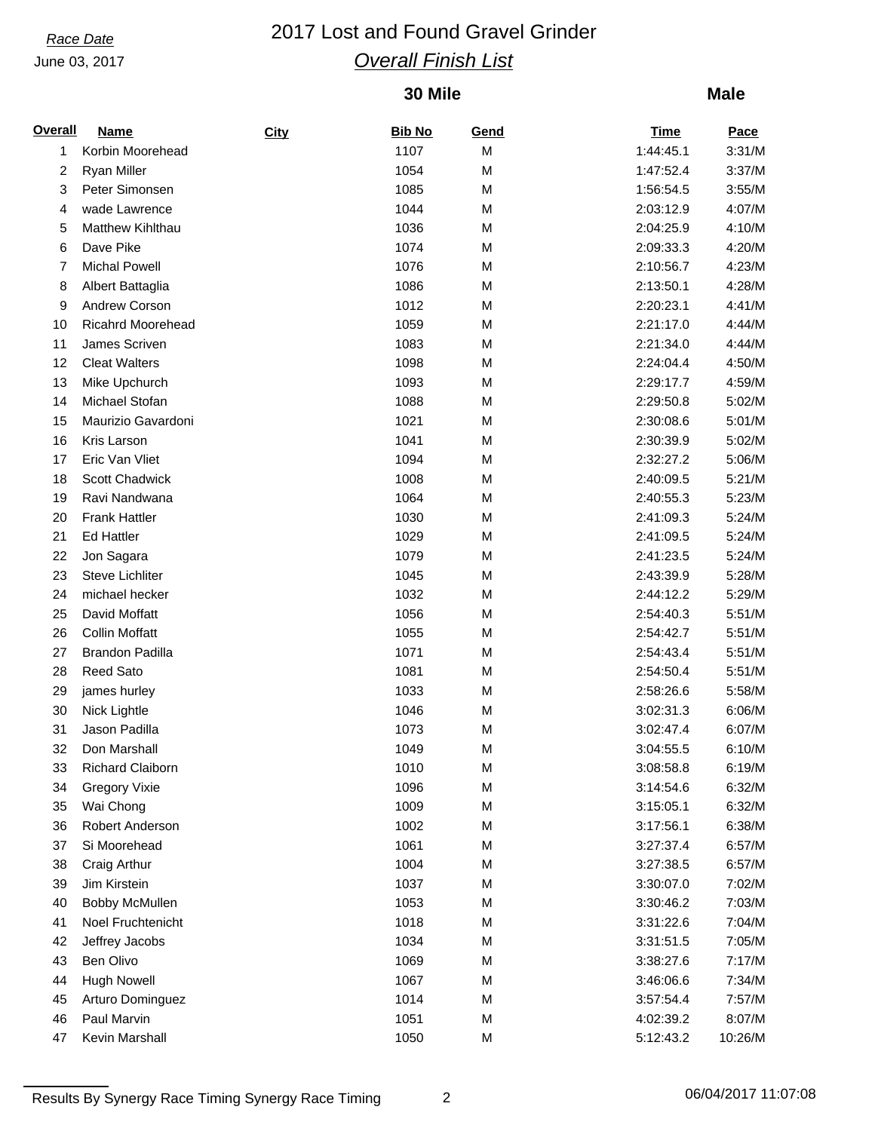June 03, 2017

## *Race Date* 2017 Lost and Found Gravel Grinder *Overall Finish List*

## **30 Mile**

#### **Male**

| <b>Overall</b> | <b>Name</b>            | City | <b>Bib No</b> | Gend | <b>Time</b> | <b>Pace</b> |
|----------------|------------------------|------|---------------|------|-------------|-------------|
| 1              | Korbin Moorehead       |      | 1107          | M    | 1:44:45.1   | 3:31/M      |
| 2              | Ryan Miller            |      | 1054          | M    | 1:47:52.4   | 3:37/M      |
| 3              | Peter Simonsen         |      | 1085          | M    | 1:56:54.5   | 3:55/M      |
| 4              | wade Lawrence          |      | 1044          | M    | 2:03:12.9   | 4:07/M      |
| 5              | Matthew Kihlthau       |      | 1036          | M    | 2:04:25.9   | 4:10/M      |
| 6              | Dave Pike              |      | 1074          | M    | 2:09:33.3   | 4:20/M      |
| 7              | <b>Michal Powell</b>   |      | 1076          | M    | 2:10:56.7   | 4:23/M      |
| 8              | Albert Battaglia       |      | 1086          | M    | 2:13:50.1   | 4:28/M      |
| 9              | Andrew Corson          |      | 1012          | M    | 2:20:23.1   | 4:41/M      |
| 10             | Ricahrd Moorehead      |      | 1059          | M    | 2:21:17.0   | 4:44/M      |
| 11             | James Scriven          |      | 1083          | M    | 2:21:34.0   | 4:44/M      |
| 12             | <b>Cleat Walters</b>   |      | 1098          | M    | 2:24:04.4   | 4:50/M      |
| 13             | Mike Upchurch          |      | 1093          | M    | 2:29:17.7   | 4:59/M      |
| 14             | Michael Stofan         |      | 1088          | M    | 2:29:50.8   | 5:02/M      |
| 15             | Maurizio Gavardoni     |      | 1021          | M    | 2:30:08.6   | 5:01/M      |
| 16             | Kris Larson            |      | 1041          | M    | 2:30:39.9   | 5:02/M      |
| 17             | Eric Van Vliet         |      | 1094          | M    | 2:32:27.2   | 5:06/M      |
| 18             | Scott Chadwick         |      | 1008          | M    | 2:40:09.5   | 5:21/M      |
| 19             | Ravi Nandwana          |      | 1064          | M    | 2:40:55.3   | 5:23/M      |
| 20             | <b>Frank Hattler</b>   |      | 1030          | M    | 2:41:09.3   | 5:24/M      |
| 21             | <b>Ed Hattler</b>      |      | 1029          | M    | 2:41:09.5   | 5:24/M      |
| 22             | Jon Sagara             |      | 1079          | M    | 2:41:23.5   | 5:24/M      |
| 23             | <b>Steve Lichliter</b> |      | 1045          | M    | 2:43:39.9   | 5:28/M      |
| 24             | michael hecker         |      | 1032          | M    | 2:44:12.2   | 5:29/M      |
| 25             | David Moffatt          |      | 1056          | M    | 2:54:40.3   | 5:51/M      |
| 26             | <b>Collin Moffatt</b>  |      | 1055          | M    | 2:54:42.7   | 5:51/M      |
| 27             | <b>Brandon Padilla</b> |      | 1071          | M    | 2:54:43.4   | 5:51/M      |
| 28             | <b>Reed Sato</b>       |      | 1081          | M    | 2:54:50.4   | 5:51/M      |
| 29             | james hurley           |      | 1033          | M    | 2:58:26.6   | 5:58/M      |
| 30             | Nick Lightle           |      | 1046          | M    | 3:02:31.3   | 6:06/M      |
| 31             | Jason Padilla          |      | 1073          | M    | 3:02:47.4   | 6:07/M      |
| 32             | Don Marshall           |      | 1049          | M    | 3:04:55.5   | 6:10/M      |
| 33             | Richard Claiborn       |      | 1010          | M    | 3:08:58.8   | 6:19/M      |
| 34             | <b>Gregory Vixie</b>   |      | 1096          | M    | 3:14:54.6   | 6:32/M      |
| 35             | Wai Chong              |      | 1009          | M    | 3:15:05.1   | 6:32/M      |
| 36             | Robert Anderson        |      | 1002          | M    | 3:17:56.1   | 6:38/M      |
| 37             | Si Moorehead           |      | 1061          | M    | 3:27:37.4   | 6:57/M      |
| 38             | Craig Arthur           |      | 1004          | M    | 3:27:38.5   | 6:57/M      |
| 39             | Jim Kirstein           |      | 1037          | M    | 3:30:07.0   | 7:02/M      |
| 40             | Bobby McMullen         |      | 1053          | M    | 3:30:46.2   | 7:03/M      |
| 41             | Noel Fruchtenicht      |      | 1018          | M    | 3:31:22.6   | 7:04/M      |
| 42             | Jeffrey Jacobs         |      | 1034          | M    | 3:31:51.5   | 7:05/M      |
| 43             | Ben Olivo              |      | 1069          | M    | 3:38:27.6   | 7:17/M      |
| 44             | <b>Hugh Nowell</b>     |      | 1067          | M    | 3:46:06.6   | 7:34/M      |
| 45             | Arturo Dominguez       |      | 1014          | M    | 3:57:54.4   | 7:57/M      |
| 46             | Paul Marvin            |      | 1051          | M    | 4:02:39.2   | 8:07/M      |
| 47             | Kevin Marshall         |      | 1050          | M    | 5:12:43.2   | 10:26/M     |

Results By Synergy Race Timing Synergy Race Timing 2 2 2 2 06/04/2017 11:07:08